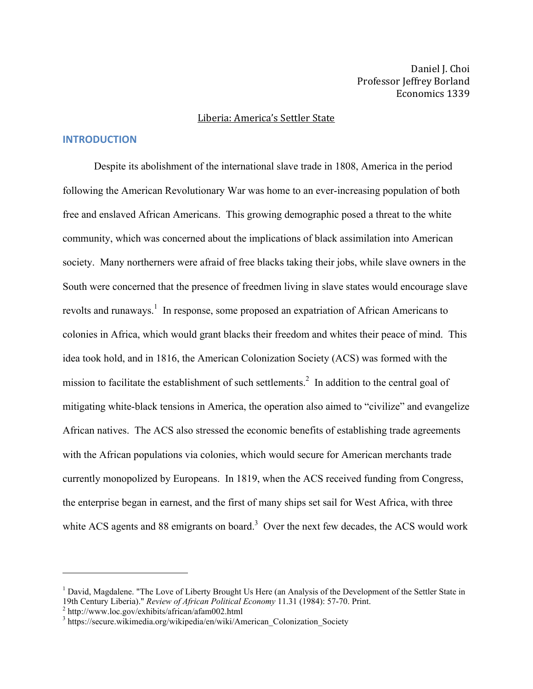Daniel J. Choi Professor Jeffrey Borland Economics 1339

#### Liberia: America's Settler State

## **INTRODUCTION**

Despite its abolishment of the international slave trade in 1808, America in the period following the American Revolutionary War was home to an ever-increasing population of both free and enslaved African Americans. This growing demographic posed a threat to the white community, which was concerned about the implications of black assimilation into American society. Many northerners were afraid of free blacks taking their jobs, while slave owners in the South were concerned that the presence of freedmen living in slave states would encourage slave revolts and runaways.<sup>1</sup> In response, some proposed an expatriation of African Americans to colonies in Africa, which would grant blacks their freedom and whites their peace of mind. This idea took hold, and in 1816, the American Colonization Society (ACS) was formed with the mission to facilitate the establishment of such settlements.<sup>2</sup> In addition to the central goal of mitigating white-black tensions in America, the operation also aimed to "civilize" and evangelize African natives. The ACS also stressed the economic benefits of establishing trade agreements with the African populations via colonies, which would secure for American merchants trade currently monopolized by Europeans. In 1819, when the ACS received funding from Congress, the enterprise began in earnest, and the first of many ships set sail for West Africa, with three white ACS agents and 88 emigrants on board.<sup>3</sup> Over the next few decades, the ACS would work

<sup>&</sup>lt;sup>1</sup> David, Magdalene. "The Love of Liberty Brought Us Here (an Analysis of the Development of the Settler State in 19th Century Liberia)." *Review of African Political Economy* 11.31 (1984): 57-70. Print.

<sup>&</sup>lt;sup>2</sup> http://www.loc.gov/exhibits/african/afam002.html<br><sup>3</sup> https://secure.wikimedia.org/wikipedia/en/wiki/American\_Colonization\_Society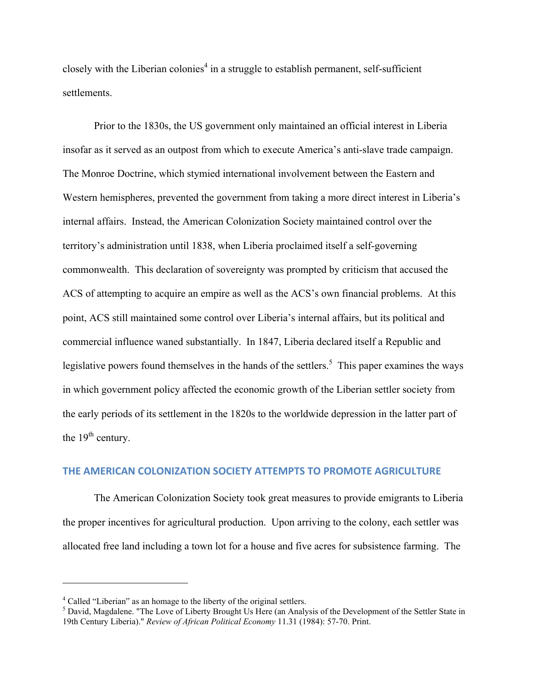closely with the Liberian colonies<sup>4</sup> in a struggle to establish permanent, self-sufficient settlements.

Prior to the 1830s, the US government only maintained an official interest in Liberia insofar as it served as an outpost from which to execute America's anti-slave trade campaign. The Monroe Doctrine, which stymied international involvement between the Eastern and Western hemispheres, prevented the government from taking a more direct interest in Liberia's internal affairs. Instead, the American Colonization Society maintained control over the territory's administration until 1838, when Liberia proclaimed itself a self-governing commonwealth. This declaration of sovereignty was prompted by criticism that accused the ACS of attempting to acquire an empire as well as the ACS's own financial problems. At this point, ACS still maintained some control over Liberia's internal affairs, but its political and commercial influence waned substantially. In 1847, Liberia declared itself a Republic and legislative powers found themselves in the hands of the settlers.<sup>5</sup> This paper examines the ways in which government policy affected the economic growth of the Liberian settler society from the early periods of its settlement in the 1820s to the worldwide depression in the latter part of the  $19<sup>th</sup>$  century.

### THE AMERICAN COLONIZATION SOCIETY ATTEMPTS TO PROMOTE AGRICULTURE

The American Colonization Society took great measures to provide emigrants to Liberia the proper incentives for agricultural production. Upon arriving to the colony, each settler was allocated free land including a town lot for a house and five acres for subsistence farming. The

<sup>4</sup> Called "Liberian" as an homage to the liberty of the original settlers.

<sup>&</sup>lt;sup>5</sup> David, Magdalene. "The Love of Liberty Brought Us Here (an Analysis of the Development of the Settler State in 19th Century Liberia)." *Review of African Political Economy* 11.31 (1984): 57-70. Print.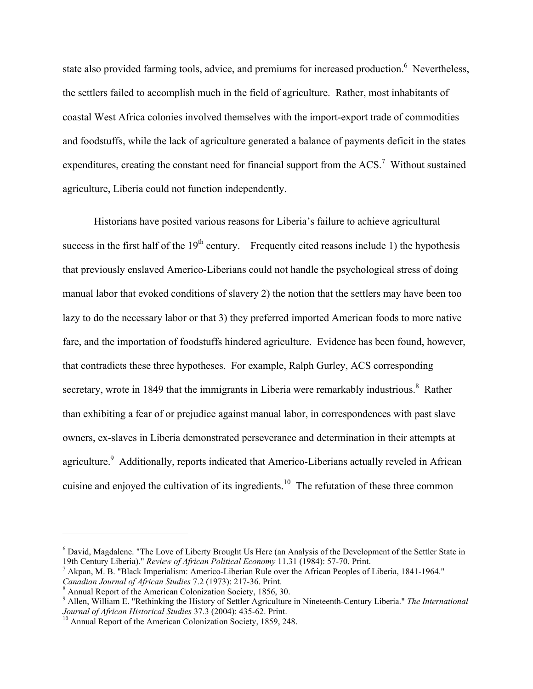state also provided farming tools, advice, and premiums for increased production.<sup>6</sup> Nevertheless, the settlers failed to accomplish much in the field of agriculture. Rather, most inhabitants of coastal West Africa colonies involved themselves with the import-export trade of commodities and foodstuffs, while the lack of agriculture generated a balance of payments deficit in the states expenditures, creating the constant need for financial support from the  $ACS$ .<sup>7</sup> Without sustained agriculture, Liberia could not function independently.

Historians have posited various reasons for Liberia's failure to achieve agricultural success in the first half of the  $19<sup>th</sup>$  century. Frequently cited reasons include 1) the hypothesis that previously enslaved Americo-Liberians could not handle the psychological stress of doing manual labor that evoked conditions of slavery 2) the notion that the settlers may have been too lazy to do the necessary labor or that 3) they preferred imported American foods to more native fare, and the importation of foodstuffs hindered agriculture. Evidence has been found, however, that contradicts these three hypotheses. For example, Ralph Gurley, ACS corresponding secretary, wrote in 1849 that the immigrants in Liberia were remarkably industrious.<sup>8</sup> Rather than exhibiting a fear of or prejudice against manual labor, in correspondences with past slave owners, ex-slaves in Liberia demonstrated perseverance and determination in their attempts at agriculture.<sup>9</sup> Additionally, reports indicated that Americo-Liberians actually reveled in African cuisine and enjoyed the cultivation of its ingredients.<sup>10</sup> The refutation of these three common

<sup>&</sup>lt;sup>6</sup> David, Magdalene. "The Love of Liberty Brought Us Here (an Analysis of the Development of the Settler State in 19th Century Liberia)." *Review of African Political Economy* 11.31 (1984): 57-70. Print.

<sup>&</sup>lt;sup>7</sup> Akpan, M. B. "Black Imperialism: Americo-Liberian Rule over the African Peoples of Liberia, 1841-1964." *Canadian Journal of African Studies* 7.2 (1973): 217-36. Print. <sup>8</sup> Annual Report of the American Colonization Society, 1856, 30.

<sup>9</sup> Allen, William E. "Rethinking the History of Settler Agriculture in Nineteenth-Century Liberia." *The International Journal of African Historical Studies* 37.3 (2004): 435-62. Print.<br><sup>10</sup> Annual Report of the American Colonization Society, 1859, 248.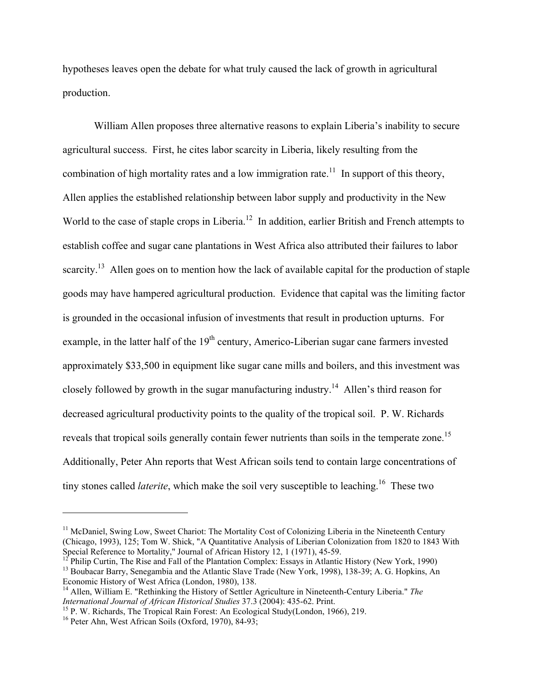hypotheses leaves open the debate for what truly caused the lack of growth in agricultural production.

William Allen proposes three alternative reasons to explain Liberia's inability to secure agricultural success. First, he cites labor scarcity in Liberia, likely resulting from the combination of high mortality rates and a low immigration rate.<sup>11</sup> In support of this theory, Allen applies the established relationship between labor supply and productivity in the New World to the case of staple crops in Liberia.<sup>12</sup> In addition, earlier British and French attempts to establish coffee and sugar cane plantations in West Africa also attributed their failures to labor scarcity.<sup>13</sup> Allen goes on to mention how the lack of available capital for the production of staple goods may have hampered agricultural production. Evidence that capital was the limiting factor is grounded in the occasional infusion of investments that result in production upturns. For example, in the latter half of the 19<sup>th</sup> century, Americo-Liberian sugar cane farmers invested approximately \$33,500 in equipment like sugar cane mills and boilers, and this investment was closely followed by growth in the sugar manufacturing industry.<sup>14</sup> Allen's third reason for decreased agricultural productivity points to the quality of the tropical soil. P. W. Richards reveals that tropical soils generally contain fewer nutrients than soils in the temperate zone.<sup>15</sup> Additionally, Peter Ahn reports that West African soils tend to contain large concentrations of tiny stones called *laterite*, which make the soil very susceptible to leaching.<sup>16</sup> These two

<sup>&</sup>lt;sup>11</sup> McDaniel, Swing Low, Sweet Chariot: The Mortality Cost of Colonizing Liberia in the Nineteenth Century (Chicago, 1993), 125; Tom W. Shick, "A Quantitative Analysis of Liberian Colonization from 1820 to 1843 With Special Reference to Mortality," Journal of African History 12, 1 (1971), 45-59.

<sup>&</sup>lt;sup>12</sup> Philip Curtin, The Rise and Fall of the Plantation Complex: Essays in Atlantic History (New York, 1990)<br><sup>13</sup> Boubacar Barry, Senegambia and the Atlantic Slave Trade (New York, 1998), 138-39; A. G. Hopkins, An Economic History of West Africa (London, 1980), 138.

<sup>&</sup>lt;sup>14</sup> Allen, William E. "Rethinking the History of Settler Agriculture in Nineteenth-Century Liberia." *The International Journal of African Historical Studies* 37.3 (2004): 435-62. Print.

<sup>&</sup>lt;sup>15</sup> P. W. Richards, The Tropical Rain Forest: An Ecological Study(London, 1966), 219.<br><sup>16</sup> Peter Ahn, West African Soils (Oxford, 1970), 84-93;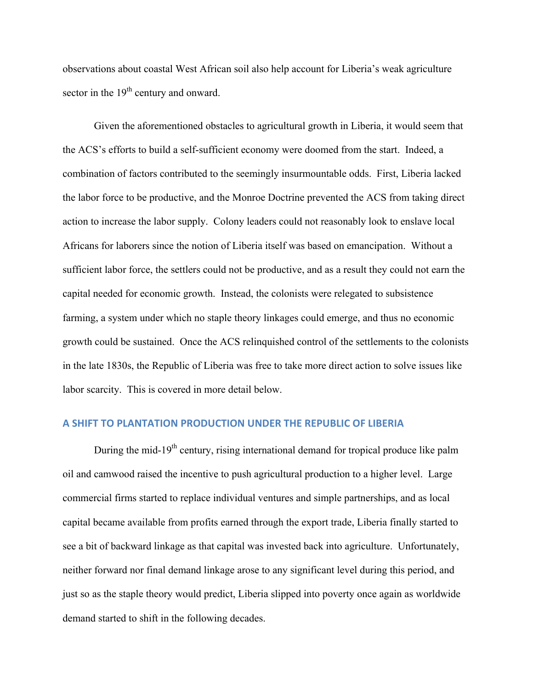observations about coastal West African soil also help account for Liberia's weak agriculture sector in the 19<sup>th</sup> century and onward.

Given the aforementioned obstacles to agricultural growth in Liberia, it would seem that the ACS's efforts to build a self-sufficient economy were doomed from the start. Indeed, a combination of factors contributed to the seemingly insurmountable odds. First, Liberia lacked the labor force to be productive, and the Monroe Doctrine prevented the ACS from taking direct action to increase the labor supply. Colony leaders could not reasonably look to enslave local Africans for laborers since the notion of Liberia itself was based on emancipation. Without a sufficient labor force, the settlers could not be productive, and as a result they could not earn the capital needed for economic growth. Instead, the colonists were relegated to subsistence farming, a system under which no staple theory linkages could emerge, and thus no economic growth could be sustained. Once the ACS relinquished control of the settlements to the colonists in the late 1830s, the Republic of Liberia was free to take more direct action to solve issues like labor scarcity. This is covered in more detail below.

# **A)SHIFT)TO)PLANTATION)PRODUCTION)UNDER)THE)REPUBLIC)OF)LIBERIA**

During the mid-19<sup>th</sup> century, rising international demand for tropical produce like palm oil and camwood raised the incentive to push agricultural production to a higher level. Large commercial firms started to replace individual ventures and simple partnerships, and as local capital became available from profits earned through the export trade, Liberia finally started to see a bit of backward linkage as that capital was invested back into agriculture. Unfortunately, neither forward nor final demand linkage arose to any significant level during this period, and just so as the staple theory would predict, Liberia slipped into poverty once again as worldwide demand started to shift in the following decades.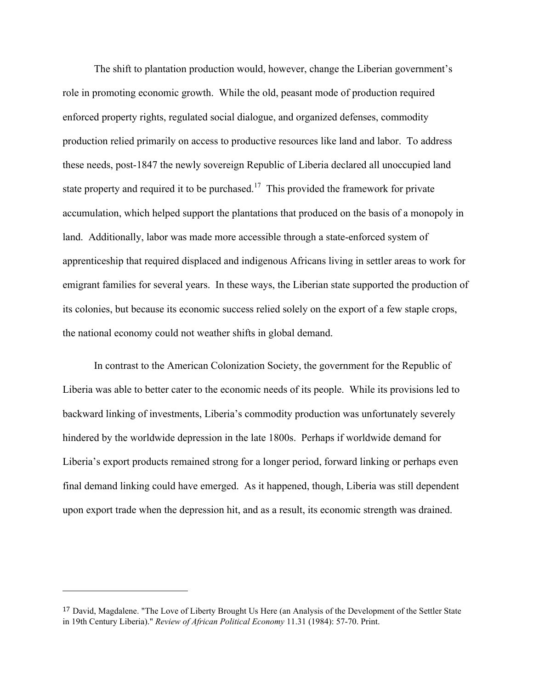The shift to plantation production would, however, change the Liberian government's role in promoting economic growth. While the old, peasant mode of production required enforced property rights, regulated social dialogue, and organized defenses, commodity production relied primarily on access to productive resources like land and labor. To address these needs, post-1847 the newly sovereign Republic of Liberia declared all unoccupied land state property and required it to be purchased.<sup>17</sup> This provided the framework for private accumulation, which helped support the plantations that produced on the basis of a monopoly in land. Additionally, labor was made more accessible through a state-enforced system of apprenticeship that required displaced and indigenous Africans living in settler areas to work for emigrant families for several years. In these ways, the Liberian state supported the production of its colonies, but because its economic success relied solely on the export of a few staple crops, the national economy could not weather shifts in global demand.

In contrast to the American Colonization Society, the government for the Republic of Liberia was able to better cater to the economic needs of its people. While its provisions led to backward linking of investments, Liberia's commodity production was unfortunately severely hindered by the worldwide depression in the late 1800s. Perhaps if worldwide demand for Liberia's export products remained strong for a longer period, forward linking or perhaps even final demand linking could have emerged. As it happened, though, Liberia was still dependent upon export trade when the depression hit, and as a result, its economic strength was drained.

<sup>&</sup>lt;sup>17</sup> David, Magdalene. "The Love of Liberty Brought Us Here (an Analysis of the Development of the Settler State in 19th Century Liberia)." *Review of African Political Economy* 11.31 (1984): 57-70. Print.